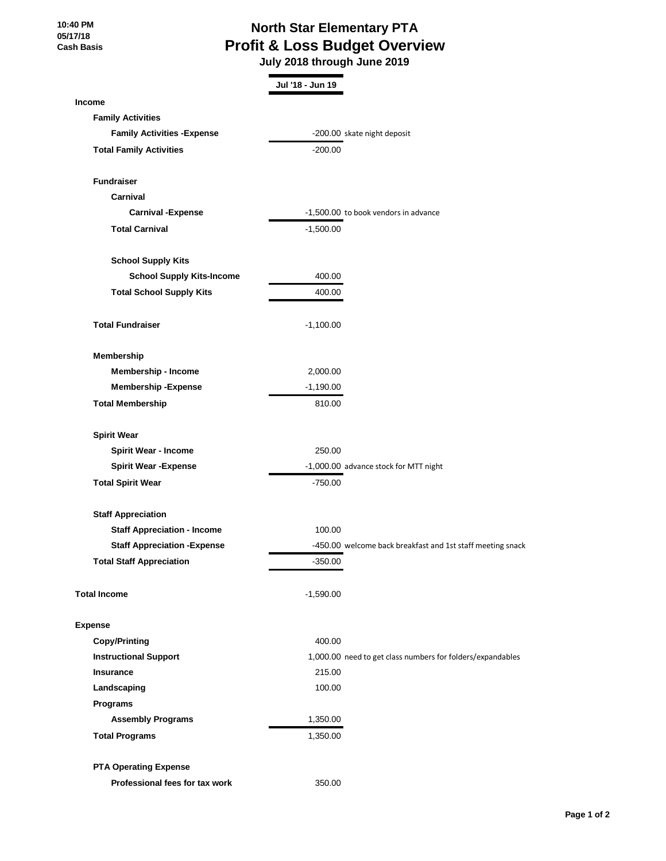## **North Star Elementary PTA Profit & Loss Budget Overview**

 **July 2018 through June 2019**

|                                     | Jul '18 - Jun 19 |                                                            |
|-------------------------------------|------------------|------------------------------------------------------------|
| <b>Income</b>                       |                  |                                                            |
| <b>Family Activities</b>            |                  |                                                            |
| <b>Family Activities - Expense</b>  |                  | -200.00 skate night deposit                                |
| <b>Total Family Activities</b>      | $-200.00$        |                                                            |
| <b>Fundraiser</b>                   |                  |                                                            |
| Carnival                            |                  |                                                            |
| <b>Carnival -Expense</b>            |                  | -1,500.00 to book vendors in advance                       |
| <b>Total Carnival</b>               | $-1,500.00$      |                                                            |
|                                     |                  |                                                            |
| <b>School Supply Kits</b>           |                  |                                                            |
| <b>School Supply Kits-Income</b>    | 400.00           |                                                            |
| <b>Total School Supply Kits</b>     | 400.00           |                                                            |
| <b>Total Fundraiser</b>             | $-1,100.00$      |                                                            |
| Membership                          |                  |                                                            |
| Membership - Income                 | 2,000.00         |                                                            |
| <b>Membership - Expense</b>         | $-1,190.00$      |                                                            |
| <b>Total Membership</b>             | 810.00           |                                                            |
| <b>Spirit Wear</b>                  |                  |                                                            |
| <b>Spirit Wear - Income</b>         | 250.00           |                                                            |
| <b>Spirit Wear - Expense</b>        |                  | -1,000.00 advance stock for MTT night                      |
| <b>Total Spirit Wear</b>            | $-750.00$        |                                                            |
|                                     |                  |                                                            |
| <b>Staff Appreciation</b>           |                  |                                                            |
| <b>Staff Appreciation - Income</b>  | 100.00           |                                                            |
| <b>Staff Appreciation - Expense</b> |                  | -450.00 welcome back breakfast and 1st staff meeting snack |
| <b>Total Staff Appreciation</b>     | $-350.00$        |                                                            |
| <b>Total Income</b>                 | $-1,590.00$      |                                                            |
| <b>Expense</b>                      |                  |                                                            |
| <b>Copy/Printing</b>                | 400.00           |                                                            |
| <b>Instructional Support</b>        |                  | 1,000.00 need to get class numbers for folders/expandables |
| <b>Insurance</b>                    | 215.00           |                                                            |
| Landscaping                         | 100.00           |                                                            |
| Programs                            |                  |                                                            |
| <b>Assembly Programs</b>            | 1,350.00         |                                                            |
| <b>Total Programs</b>               | 1,350.00         |                                                            |
| <b>PTA Operating Expense</b>        |                  |                                                            |
| Professional fees for tax work      | 350.00           |                                                            |